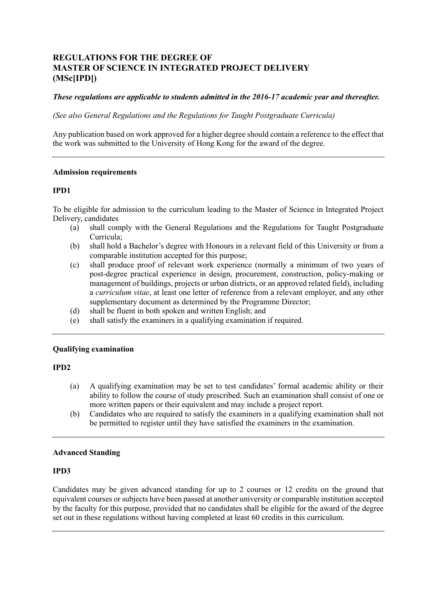# **REGULATIONS FOR THE DEGREE OF MASTER OF SCIENCE IN INTEGRATED PROJECT DELIVERY (MSc[IPD])**

## *These regulations are applicable to students admitted in the 2016-17 academic year and thereafter.*

 *(See also General Regulations and the Regulations for Taught Postgraduate Curricula)* 

 Any publication based on work approved for a higher degree should contain a reference to the effect that the work was submitted to the University of Hong Kong for the award of the degree.

## **Admission requirements**

## **IPD1**

 To be eligible for admission to the curriculum leading to the Master of Science in Integrated Project Delivery, candidates

- Delivery, candidates<br>(a) shall comply with the General Regulations and the Regulations for Taught Postgraduate Curricula;
	- (b) shall hold a Bachelor's degree with Honours in a relevant field of this University or from a comparable institution accepted for this purpose;
	- (c) shall produce proof of relevant work experience (normally a minimum of two years of management of buildings, projects or urban districts, or an approved related field), including a *curriculum vitae*, at least one letter of reference from a relevant employer, and any other post-degree practical experience in design, procurement, construction, policy-making or supplementary document as determined by the Programme Director;
	- (d) shall be fluent in both spoken and written English; and
	- (e) shall satisfy the examiners in a qualifying examination if required.

## **Qualifying examination**

## **IPD2**

- (a) A qualifying examination may be set to test candidates' formal academic ability or their ability to follow the course of study prescribed. Such an examination shall consist of one or more written papers or their equivalent and may include a project report.
- (b) Candidates who are required to satisfy the examiners in a qualifying examination shall not be permitted to register until they have satisfied the examiners in the examination.

# **Advanced Standing**

### **IPD3**

 Candidates may be given advanced standing for up to 2 courses or 12 credits on the ground that equivalent courses or subjects have been passed at another university or comparable institution accepted by the faculty for this purpose, provided that no candidates shall be eligible for the award of the degree set out in these regulations without having completed at least 60 credits in this curriculum.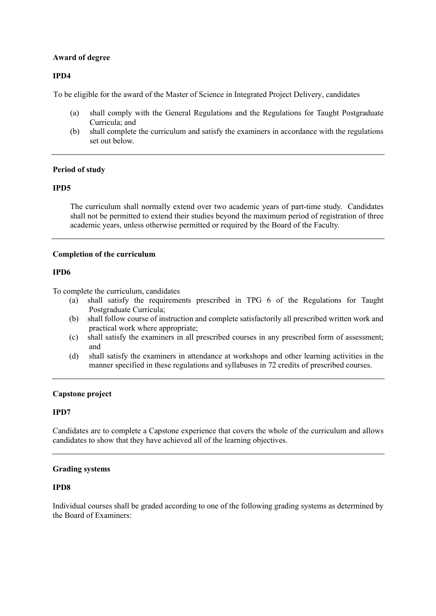### **Award of degree**

## **IPD4**

To be eligible for the award of the Master of Science in Integrated Project Delivery, candidates

- (a) shall comply with the General Regulations and the Regulations for Taught Postgraduate Curricula; and
- (b) shall complete the curriculum and satisfy the examiners in accordance with the regulations set out below.

## **Period of study**

## **IPD5**

 The curriculum shall normally extend over two academic years of part-time study. Candidates shall not be permitted to extend their studies beyond the maximum period of registration of three academic years, unless otherwise permitted or required by the Board of the Faculty.

## **Completion of the curriculum**

## **IPD6**

To complete the curriculum, candidates

- (a) shall satisfy the requirements prescribed in TPG 6 of the Regulations for Taught Postgraduate Curricula;
- (b) shall follow course of instruction and complete satisfactorily all prescribed written work and practical work where appropriate;
- (c) shall satisfy the examiners in all prescribed courses in any prescribed form of assessment; and
- (d) shall satisfy the examiners in attendance at workshops and other learning activities in the manner specified in these regulations and syllabuses in 72 credits of prescribed courses.

## **Capstone project**

## **IPD7**

 Candidates are to complete a Capstone experience that covers the whole of the curriculum and allows candidates to show that they have achieved all of the learning objectives.

## **Grading systems**

## **IPD8**

 Individual courses shall be graded according to one of the following grading systems as determined by the Board of Examiners: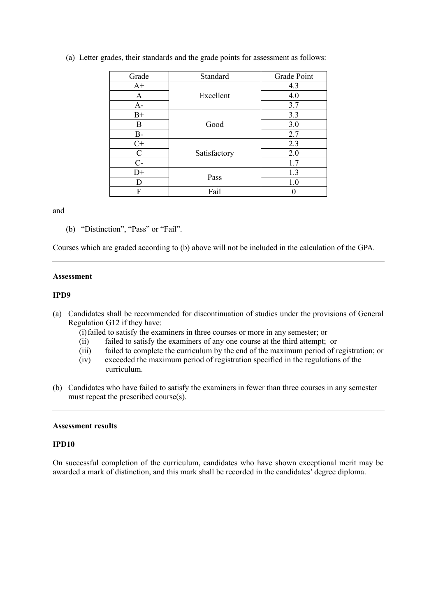| Grade       | Standard     | Grade Point |
|-------------|--------------|-------------|
| $A+$        | Excellent    | 4.3         |
| A           |              | 4.0         |
| $A-$        |              | 3.7         |
| $B+$        | Good         | 3.3         |
| B           |              | 3.0         |
| $B-$        |              | 2.7         |
| $C+$        | Satisfactory | 2.3         |
| $\mathbf C$ |              | 2.0         |
| $C-$        |              | 1.7         |
| $D+$        | Pass         | 1.3         |
| D           |              | 1.0         |
| F           | Fail         |             |

(a) Letter grades, their standards and the grade points for assessment as follows:

and

(b) "Distinction", "Pass" or "Fail".

Courses which are graded according to (b) above will not be included in the calculation of the GPA.

### **Assessment**

### **IPD9**

- (a) Candidates shall be recommended for discontinuation of studies under the provisions of General Regulation G12 if they have:
	- (i)failed to satisfy the examiners in three courses or more in any semester; or
	- (ii) failed to satisfy the examiners of any one course at the third attempt; or
	- (iii) failed to complete the curriculum by the end of the maximum period of registration; or
	- (iv) exceeded the maximum period of registration specified in the regulations of the curriculum.
- (b) Candidates who have failed to satisfy the examiners in fewer than three courses in any semester must repeat the prescribed course(s). must repeat the prescribed course(s).

### **Assessment results**

## **IPD10**

 On successful completion of the curriculum, candidates who have shown exceptional merit may be awarded a mark of distinction, and this mark shall be recorded in the candidates' degree diploma.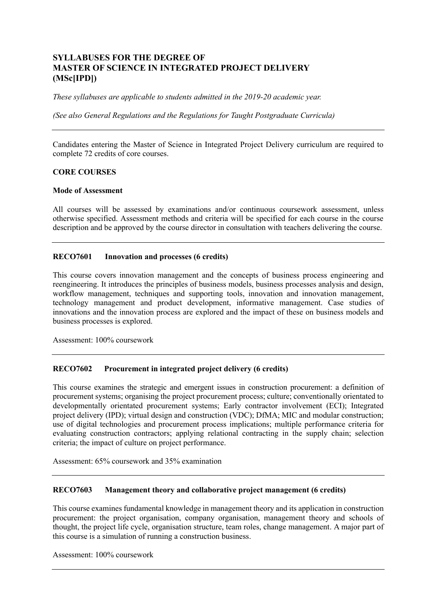# **SYLLABUSES FOR THE DEGREE OF MASTER OF SCIENCE IN INTEGRATED PROJECT DELIVERY (MSc[IPD])**

*These syllabuses are applicable to students admitted in the 2019-20 academic year.* 

*(See also General Regulations and the Regulations for Taught Postgraduate Curricula)* 

 Candidates entering the Master of Science in Integrated Project Delivery curriculum are required to complete 72 credits of core courses.

## **CORE COURSES**

### **Mode of Assessment**

 All courses will be assessed by examinations and/or continuous coursework assessment, unless otherwise specified. Assessment methods and criteria will be specified for each course in the course description and be approved by the course director in consultation with teachers delivering the course.

### **RECO7601** Innovation and processes (6 credits)

 This course covers innovation management and the concepts of business process engineering and workflow management, techniques and supporting tools, innovation and innovation management, innovations and the innovation process are explored and the impact of these on business models and business processes is explored. reengineering. It introduces the principles of business models, business processes analysis and design, technology management and product development, informative management. Case studies of

Assessment: 100% coursework

### **RECO7602 Procurement in integrated project delivery (6 credits)**

 This course examines the strategic and emergent issues in construction procurement: a definition of procurement systems; organising the project procurement process; culture; conventionally orientated to developmentally orientated procurement systems; Early contractor involvement (ECI); Integrated project delivery (IPD); virtual design and construction (VDC); DfMA; MIC and modular construction; use of digital technologies and procurement process implications; multiple performance criteria for criteria; the impact of culture on project performance. evaluating construction contractors; applying relational contracting in the supply chain; selection

Assessment: 65% coursework and 35% examination

### **RECO7603 Management theory and collaborative project management (6 credits)**

 This course examines fundamental knowledge in management theory and its application in construction procurement: the project organisation, company organisation, management theory and schools of thought, the project life cycle, organisation structure, team roles, change management. A major part of this course is a simulation of running a construction business.

Assessment: 100% coursework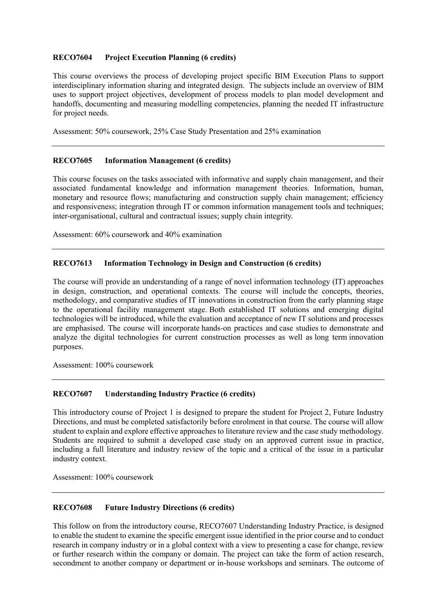### **RECO7604 Project Execution Planning (6 credits)**

 This course overviews the process of developing project specific BIM Execution Plans to support interdisciplinary information sharing and integrated design. The subjects include an overview of BIM uses to support project objectives, development of process models to plan model development and handoffs, documenting and measuring modelling competencies, planning the needed IT infrastructure for project needs.

Assessment: 50% coursework, 25% Case Study Presentation and 25% examination

### **RECO7605 Information Management (6 credits)**

 This course focuses on the tasks associated with informative and supply chain management, and their associated fundamental knowledge and information management theories. Information, human, monetary and resource flows; manufacturing and construction supply chain management; efficiency and responsiveness; integration through IT or common information management tools and techniques; inter-organisational, cultural and contractual issues; supply chain integrity.

Assessment: 60% coursework and 40% examination

### **RECO7613 Information Technology in Design and Construction (6 credits)**

 The course will provide an understanding of a range of novel information technology (IT) approaches in design, construction, and operational contexts. The course will include the concepts, theories, methodology, and comparative studies of IT innovations in construction from the early planning stage to the operational facility management stage. Both established IT solutions and emerging digital technologies will be introduced, while the evaluation and acceptance of new IT solutions and processes are emphasised. The course will incorporate hands-on practices and case studies to demonstrate and analyze the digital technologies for current construction processes as well as long term innovation purposes.

Assessment: 100% coursework

### **RECO7607 Understanding Industry Practice (6 credits)**

 This introductory course of Project 1 is designed to prepare the student for Project 2, Future Industry Directions, and must be completed satisfactorily before enrolment in that course. The course will allow student to explain and explore effective approaches to literature review and the case study methodology. including a full literature and industry review of the topic and a critical of the issue in a particular Students are required to submit a developed case study on an approved current issue in practice, industry context.

Assessment: 100% coursework

### **Future Industry Directions (6 credits)**

 This follow on from the introductory course, RECO7607 Understanding Industry Practice, is designed to enable the student to examine the specific emergent issue identified in the prior course and to conduct research in company industry or in a global context with a view to presenting a case for change, review or further research within the company or domain. The project can take the form of action research, secondment to another company or department or in-house workshops and seminars. The outcome of